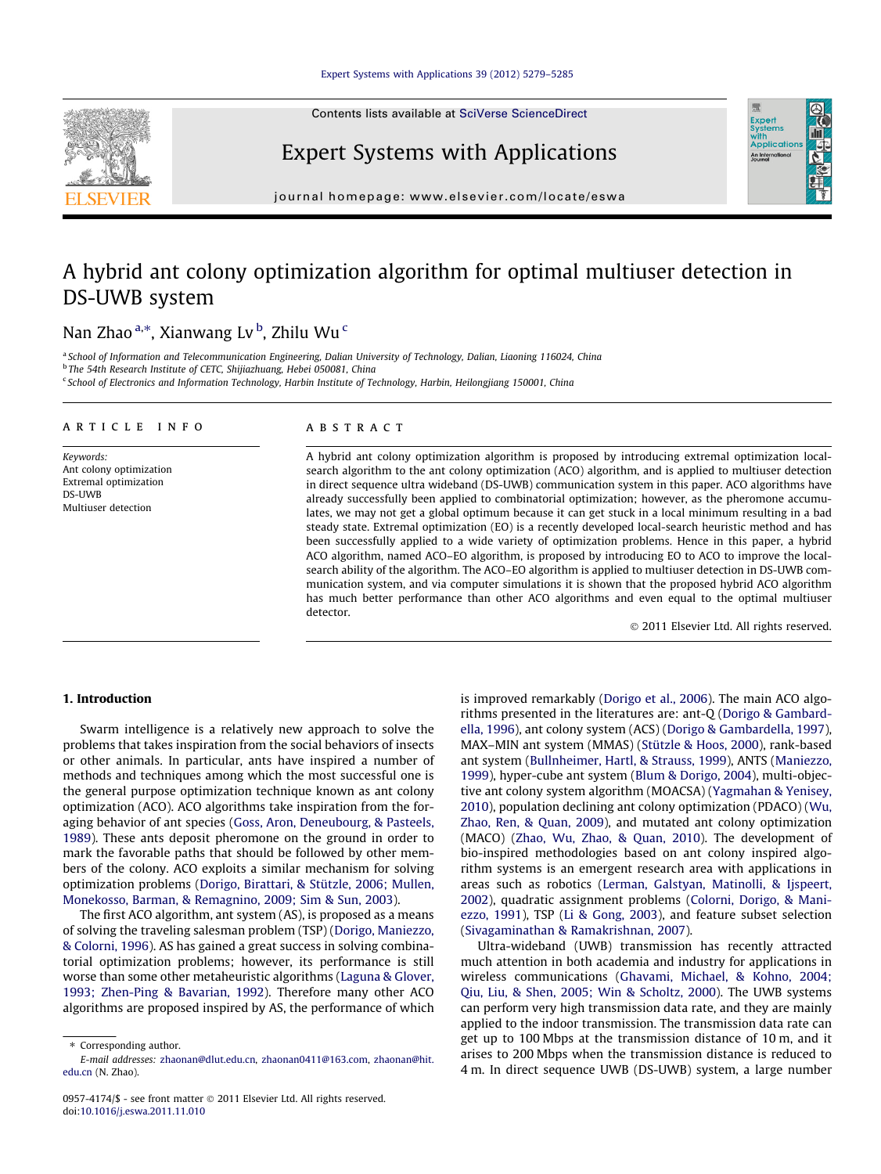Contents lists available at [SciVerse ScienceDirect](http://www.sciencedirect.com/science/journal/09574174)



## Expert Systems with Applications



journal homepage: [www.elsevier.com/locate/eswa](http://www.elsevier.com/locate/eswa)

# A hybrid ant colony optimization algorithm for optimal multiuser detection in DS-UWB system

## Nan Zhao <sup>a,</sup>\*, Xianwang Lv <sup>b</sup>, Zhilu Wu <sup>c</sup>

<sup>a</sup> School of Information and Telecommunication Engineering, Dalian University of Technology, Dalian, Liaoning 116024, China <sup>b</sup> The 54th Research Institute of CETC, Shijiazhuang, Hebei 050081, China <sup>c</sup> School of Electronics and Information Technology, Harbin Institute of Technology, Harbin, Heilongjiang 150001, China

## article info

Keywords: Ant colony optimization Extremal optimization DS-UWB Multiuser detection

## ABSTRACT

A hybrid ant colony optimization algorithm is proposed by introducing extremal optimization localsearch algorithm to the ant colony optimization (ACO) algorithm, and is applied to multiuser detection in direct sequence ultra wideband (DS-UWB) communication system in this paper. ACO algorithms have already successfully been applied to combinatorial optimization; however, as the pheromone accumulates, we may not get a global optimum because it can get stuck in a local minimum resulting in a bad steady state. Extremal optimization (EO) is a recently developed local-search heuristic method and has been successfully applied to a wide variety of optimization problems. Hence in this paper, a hybrid ACO algorithm, named ACO–EO algorithm, is proposed by introducing EO to ACO to improve the localsearch ability of the algorithm. The ACO–EO algorithm is applied to multiuser detection in DS-UWB communication system, and via computer simulations it is shown that the proposed hybrid ACO algorithm has much better performance than other ACO algorithms and even equal to the optimal multiuser detector.

- 2011 Elsevier Ltd. All rights reserved.

## 1. Introduction

Swarm intelligence is a relatively new approach to solve the problems that takes inspiration from the social behaviors of insects or other animals. In particular, ants have inspired a number of methods and techniques among which the most successful one is the general purpose optimization technique known as ant colony optimization (ACO). ACO algorithms take inspiration from the foraging behavior of ant species [\(Goss, Aron, Deneubourg, & Pasteels,](#page--1-0) [1989\)](#page--1-0). These ants deposit pheromone on the ground in order to mark the favorable paths that should be followed by other members of the colony. ACO exploits a similar mechanism for solving optimization problems [\(Dorigo, Birattari, & Stützle, 2006; Mullen,](#page--1-0) [Monekosso, Barman, & Remagnino, 2009; Sim & Sun, 2003\)](#page--1-0).

The first ACO algorithm, ant system (AS), is proposed as a means of solving the traveling salesman problem (TSP) [\(Dorigo, Maniezzo,](#page--1-0) [& Colorni, 1996\)](#page--1-0). AS has gained a great success in solving combinatorial optimization problems; however, its performance is still worse than some other metaheuristic algorithms [\(Laguna & Glover,](#page--1-0) [1993; Zhen-Ping & Bavarian, 1992\)](#page--1-0). Therefore many other ACO algorithms are proposed inspired by AS, the performance of which

⇑ Corresponding author. E-mail addresses: [zhaonan@dlut.edu.cn,](mailto:zhaonan@dlut.edu.cn) [zhaonan0411@163.com,](mailto:zhaonan0411@163.com) [zhaonan@hit.](mailto:zhaonan@hit. edu.cn) [edu.cn](mailto:zhaonan@hit. edu.cn) (N. Zhao).

is improved remarkably [\(Dorigo et al., 2006\)](#page--1-0). The main ACO algorithms presented in the literatures are: ant-Q ([Dorigo & Gambard](#page--1-0)[ella, 1996](#page--1-0)), ant colony system (ACS) [\(Dorigo & Gambardella, 1997\)](#page--1-0), MAX–MIN ant system (MMAS) [\(Stützle & Hoos, 2000](#page--1-0)), rank-based ant system [\(Bullnheimer, Hartl, & Strauss, 1999](#page--1-0)), ANTS [\(Maniezzo,](#page--1-0) [1999\)](#page--1-0), hyper-cube ant system ([Blum & Dorigo, 2004](#page--1-0)), multi-objective ant colony system algorithm (MOACSA) [\(Yagmahan & Yenisey,](#page--1-0) [2010](#page--1-0)), population declining ant colony optimization (PDACO) [\(Wu,](#page--1-0) [Zhao, Ren, & Quan, 2009](#page--1-0)), and mutated ant colony optimization (MACO) ([Zhao, Wu, Zhao, & Quan, 2010\)](#page--1-0). The development of bio-inspired methodologies based on ant colony inspired algorithm systems is an emergent research area with applications in areas such as robotics ([Lerman, Galstyan, Matinolli, & Ijspeert,](#page--1-0) [2002](#page--1-0)), quadratic assignment problems [\(Colorni, Dorigo, & Mani](#page--1-0)[ezzo, 1991\)](#page--1-0), TSP [\(Li & Gong, 2003\)](#page--1-0), and feature subset selection ([Sivagaminathan & Ramakrishnan, 2007\)](#page--1-0).

Ultra-wideband (UWB) transmission has recently attracted much attention in both academia and industry for applications in wireless communications [\(Ghavami, Michael, & Kohno, 2004;](#page--1-0) [Qiu, Liu, & Shen, 2005; Win & Scholtz, 2000](#page--1-0)). The UWB systems can perform very high transmission data rate, and they are mainly applied to the indoor transmission. The transmission data rate can get up to 100 Mbps at the transmission distance of 10 m, and it arises to 200 Mbps when the transmission distance is reduced to 4 m. In direct sequence UWB (DS-UWB) system, a large number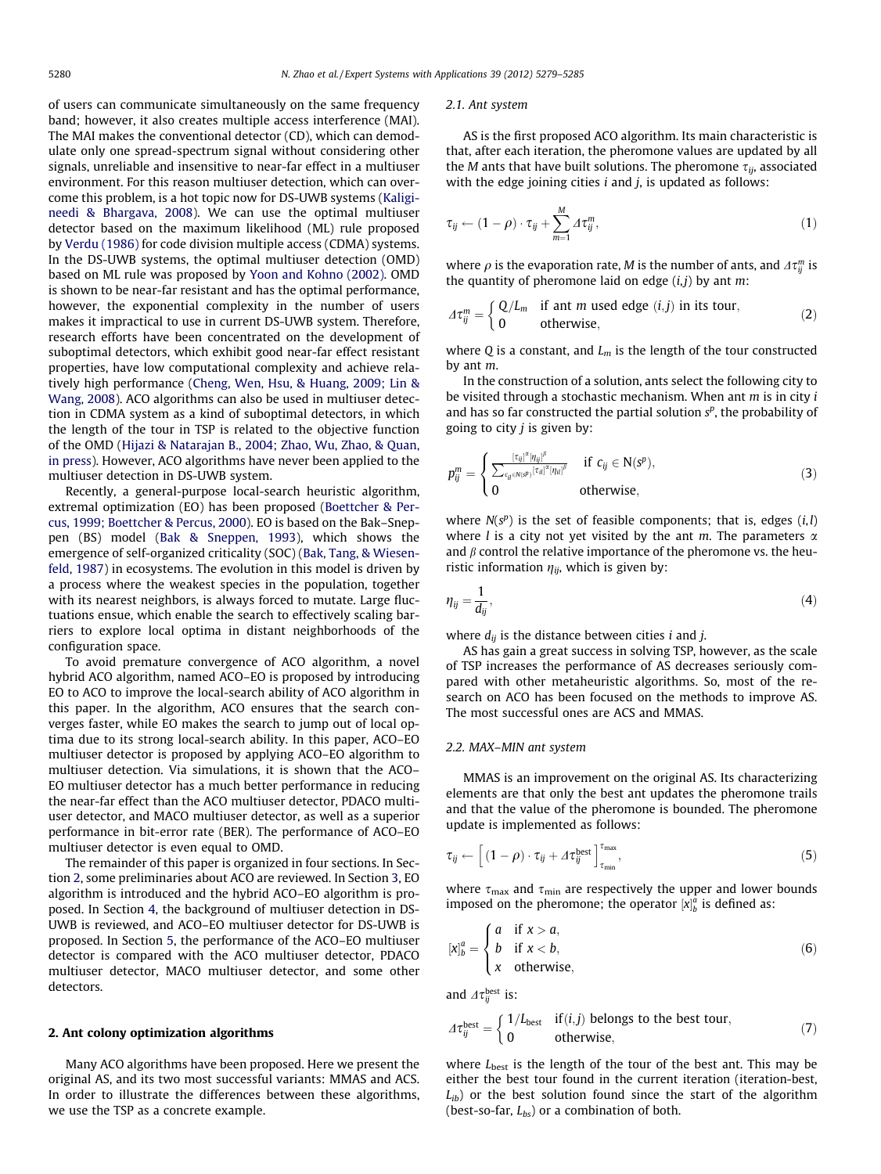of users can communicate simultaneously on the same frequency band; however, it also creates multiple access interference (MAI). The MAI makes the conventional detector (CD), which can demodulate only one spread-spectrum signal without considering other signals, unreliable and insensitive to near-far effect in a multiuser environment. For this reason multiuser detection, which can overcome this problem, is a hot topic now for DS-UWB systems [\(Kaligi](#page--1-0)[needi & Bhargava, 2008](#page--1-0)). We can use the optimal multiuser detector based on the maximum likelihood (ML) rule proposed by [Verdu \(1986\)](#page--1-0) for code division multiple access (CDMA) systems. In the DS-UWB systems, the optimal multiuser detection (OMD) based on ML rule was proposed by [Yoon and Kohno \(2002\).](#page--1-0) OMD is shown to be near-far resistant and has the optimal performance, however, the exponential complexity in the number of users makes it impractical to use in current DS-UWB system. Therefore, research efforts have been concentrated on the development of suboptimal detectors, which exhibit good near-far effect resistant properties, have low computational complexity and achieve relatively high performance ([Cheng, Wen, Hsu, & Huang, 2009; Lin &](#page--1-0) [Wang, 2008\)](#page--1-0). ACO algorithms can also be used in multiuser detection in CDMA system as a kind of suboptimal detectors, in which the length of the tour in TSP is related to the objective function of the OMD [\(Hijazi & Natarajan B., 2004; Zhao, Wu, Zhao, & Quan,](#page--1-0) [in press\)](#page--1-0). However, ACO algorithms have never been applied to the multiuser detection in DS-UWB system.

Recently, a general-purpose local-search heuristic algorithm, extremal optimization (EO) has been proposed ([Boettcher & Per](#page--1-0)[cus, 1999; Boettcher & Percus, 2000\)](#page--1-0). EO is based on the Bak–Sneppen (BS) model [\(Bak & Sneppen, 1993](#page--1-0)), which shows the emergence of self-organized criticality (SOC) ([Bak, Tang, & Wiesen](#page--1-0)[feld, 1987](#page--1-0)) in ecosystems. The evolution in this model is driven by a process where the weakest species in the population, together with its nearest neighbors, is always forced to mutate. Large fluctuations ensue, which enable the search to effectively scaling barriers to explore local optima in distant neighborhoods of the configuration space.

To avoid premature convergence of ACO algorithm, a novel hybrid ACO algorithm, named ACO–EO is proposed by introducing EO to ACO to improve the local-search ability of ACO algorithm in this paper. In the algorithm, ACO ensures that the search converges faster, while EO makes the search to jump out of local optima due to its strong local-search ability. In this paper, ACO–EO multiuser detector is proposed by applying ACO–EO algorithm to multiuser detection. Via simulations, it is shown that the ACO– EO multiuser detector has a much better performance in reducing the near-far effect than the ACO multiuser detector, PDACO multiuser detector, and MACO multiuser detector, as well as a superior performance in bit-error rate (BER). The performance of ACO–EO multiuser detector is even equal to OMD.

The remainder of this paper is organized in four sections. In Section 2, some preliminaries about ACO are reviewed. In Section [3,](#page--1-0) EO algorithm is introduced and the hybrid ACO–EO algorithm is proposed. In Section [4](#page--1-0), the background of multiuser detection in DS-UWB is reviewed, and ACO–EO multiuser detector for DS-UWB is proposed. In Section [5,](#page--1-0) the performance of the ACO–EO multiuser detector is compared with the ACO multiuser detector, PDACO multiuser detector, MACO multiuser detector, and some other detectors.

### 2. Ant colony optimization algorithms

Many ACO algorithms have been proposed. Here we present the original AS, and its two most successful variants: MMAS and ACS. In order to illustrate the differences between these algorithms, we use the TSP as a concrete example.

#### 2.1. Ant system

AS is the first proposed ACO algorithm. Its main characteristic is that, after each iteration, the pheromone values are updated by all the *M* ants that have built solutions. The pheromone  $\tau_{ij}$ , associated with the edge joining cities  $i$  and  $j$ , is updated as follows:

$$
\tau_{ij} \leftarrow (1 - \rho) \cdot \tau_{ij} + \sum_{m=1}^{M} \Delta \tau_{ij}^m, \qquad (1)
$$

where  $\rho$  is the evaporation rate, M is the number of ants, and  $\Delta \tau_{ij}^m$  is the quantity of pheromone laid on edge  $(i, j)$  by ant m:

$$
\Delta \tau_{ij}^{m} = \begin{cases} Q/L_{m} & \text{if ant } m \text{ used edge } (i,j) \text{ in its tour,} \\ 0 & \text{otherwise,} \end{cases}
$$
 (2)

where Q is a constant, and  $L_m$  is the length of the tour constructed by ant m.

In the construction of a solution, ants select the following city to be visited through a stochastic mechanism. When ant  $m$  is in city  $i$ and has so far constructed the partial solution  $s<sup>p</sup>$ , the probability of going to city  $j$  is given by:

$$
p_{ij}^m = \begin{cases} \frac{[\tau_{ij}]^{\alpha}[\eta_{ij}]^{\beta}}{\sum_{c_{il} \in N(S^p)} [\tau_{il}]^{\alpha}[\eta_{il}]^{\beta}} & \text{if } c_{ij} \in N(S^p), \\ 0 & \text{otherwise}, \end{cases}
$$
(3)

where  $N(s^p)$  is the set of feasible components; that is, edges  $(i, l)$ where *l* is a city not yet visited by the ant *m*. The parameters  $\alpha$ and  $\beta$  control the relative importance of the pheromone vs. the heuristic information  $\eta_{ij}$ , which is given by:

$$
\eta_{ij} = \frac{1}{d_{ij}},\tag{4}
$$

where  $d_{ij}$  is the distance between cities *i* and *j*.

AS has gain a great success in solving TSP, however, as the scale of TSP increases the performance of AS decreases seriously compared with other metaheuristic algorithms. So, most of the research on ACO has been focused on the methods to improve AS. The most successful ones are ACS and MMAS.

### 2.2. MAX–MIN ant system

MMAS is an improvement on the original AS. Its characterizing elements are that only the best ant updates the pheromone trails and that the value of the pheromone is bounded. The pheromone update is implemented as follows:

$$
\tau_{ij} \leftarrow \left[ (1 - \rho) \cdot \tau_{ij} + \varDelta \tau_{ij}^{\text{best}} \right]_{\tau_{\text{min}}}^{\tau_{\text{max}}}, \tag{5}
$$

where  $\tau_{\text{max}}$  and  $\tau_{\text{min}}$  are respectively the upper and lower bounds imposed on the pheromone; the operator  $[x]_b^a$  is defined as:

$$
[x]_b^a = \begin{cases} a & \text{if } x > a, \\ b & \text{if } x < b, \\ x & \text{otherwise,} \end{cases}
$$
 (6)

and  $\varDelta \tau_{ij}^{\text{best}}$  is:

$$
\Delta \tau_{ij}^{\text{best}} = \begin{cases} 1/L_{\text{best}} & \text{if } (i,j) \text{ belongs to the best tour,} \\ 0 & \text{otherwise,} \end{cases} \tag{7}
$$

where  $L_{best}$  is the length of the tour of the best ant. This may be either the best tour found in the current iteration (iteration-best,  $L_{ib}$ ) or the best solution found since the start of the algorithm (best-so-far,  $L_{bs}$ ) or a combination of both.